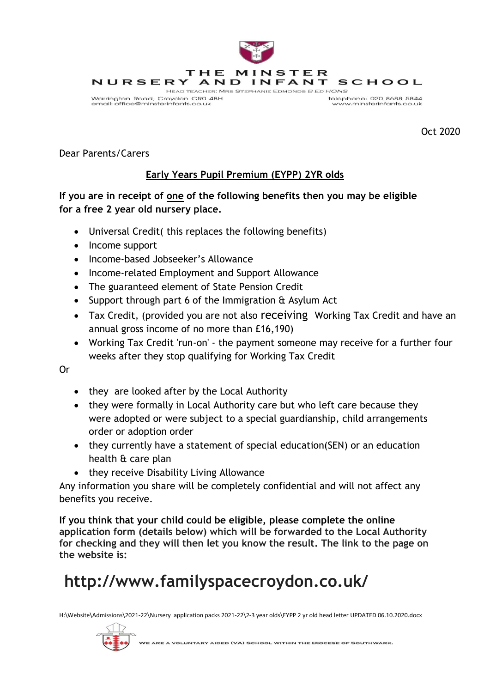

Oct 2020

Dear Parents/Carers

## **Early Years Pupil Premium (EYPP) 2YR olds**

## **If you are in receipt of one of the following benefits then you may be eligible for a free 2 year old nursery place.**

- Universal Credit( this replaces the following benefits)
- Income support
- Income-based Jobseeker's Allowance
- Income-related Employment and Support Allowance
- The guaranteed element of State Pension Credit
- Support through part 6 of the Immigration & Asylum Act
- Tax Credit, (provided you are not also receiving Working Tax Credit and have an annual gross income of no more than £16,190)
- Working Tax Credit 'run-on' the payment someone may receive for a further four weeks after they stop qualifying for Working Tax Credit

Or

- they are looked after by the Local Authority
- they were formally in Local Authority care but who left care because they were adopted or were subject to a special guardianship, child arrangements order or adoption order
- they currently have a statement of special education(SEN) or an education health & care plan
- they receive Disability Living Allowance

Any information you share will be completely confidential and will not affect any benefits you receive.

**If you think that your child could be eligible, please complete the online application form (details below) which will be forwarded to the Local Authority for checking and they will then let you know the result. The link to the page on the website is:**

## **http://www.familyspacecroydon.co.uk/**

H:\Website\Admissions\2021-22\Nursery application packs 2021-22\2-3 year olds\EYPP 2 yr old head letter UPDATED 06.10.2020.docx



**VOLUNTARY AIDED (VA) SCHOOL WITHIN THE DIOCESE OF SOUTHWARK.**